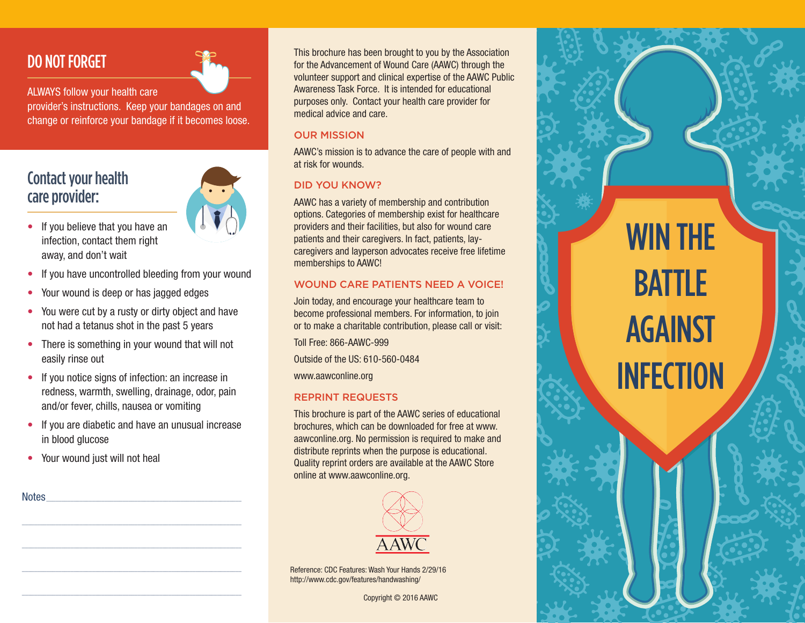## DO NOT FORGET



ALWAYS follow your health care

provider's instructions. Keep your bandages on and change or reinforce your bandage if it becomes loose.

### Contact your health care provider:

- If you believe that you have an infection, contact them right away, and don't wait
- If you have uncontrolled bleeding from your wound
- Your wound is deep or has jagged edges
- You were cut by a rusty or dirty object and have not had a tetanus shot in the past 5 years
- There is something in your wound that will not easily rinse out
- If you notice signs of infection: an increase in redness, warmth, swelling, drainage, odor, pain and/or fever, chills, nausea or vomiting
- If you are diabetic and have an unusual increase in blood glucose

 $\mathcal{L}_\text{max}$  and the set of the set of the set of the set of the set of the set of the set of the set of the set of

 $\mathcal{L}_\text{max}$  and the set of the set of the set of the set of the set of the set of the set of the set of the set of

\_\_\_\_\_\_\_\_\_\_\_\_\_\_\_\_\_\_\_\_\_\_\_\_\_\_\_\_\_\_\_\_\_\_\_\_\_\_\_\_\_\_\_\_\_\_\_\_\_\_\_\_\_\_\_\_\_\_\_\_\_\_\_\_\_\_\_\_\_\_\_\_

 $\mathcal{L}_\text{max}$  and the set of the set of the set of the set of the set of the set of the set of the set of the set of

Your wound just will not heal

Notes \_\_\_\_\_\_\_\_\_\_\_\_\_\_\_\_\_\_\_\_\_\_\_\_\_\_\_\_\_\_\_\_\_\_\_\_\_\_\_\_\_\_\_\_\_\_\_\_\_\_\_\_\_\_\_\_\_\_\_\_\_\_\_\_

This brochure has been brought to you by the Association for the Advancement of Wound Care (AAWC) through the volunteer support and clinical expertise of the AAWC Public Awareness Task Force. It is intended for educational purposes only. Contact your health care provider for medical advice and care.

#### OUR MISSION

AAWC's mission is to advance the care of people with and at risk for wounds.

### DID YOU KNOW?

AAWC has a variety of membership and contribution options. Categories of membership exist for healthcare providers and their facilities, but also for wound care patients and their caregivers. In fact, patients, laycaregivers and layperson advocates receive free lifetime memberships to AAWC!

### WOUND CARE PATIENTS NEED A VOICE!

Join today, and encourage your healthcare team to become professional members. For information, to join or to make a charitable contribution, please call or visit:

Toll Free: 866-AAWC-999

Outside of the US: 610-560-0484

www.aawconline.org

### REPRINT REQUESTS

This brochure is part of the AAWC series of educational brochures, which can be downloaded for free at www. aawconline.org. No permission is required to make and distribute reprints when the purpose is educational. Quality reprint orders are available at the AAWC Store online at www.aawconline.org.



Reference: CDC Features: Wash Your Hands 2/29/16 http://www.cdc.gov/features/handwashing/

Copyright © 2016 AAWC